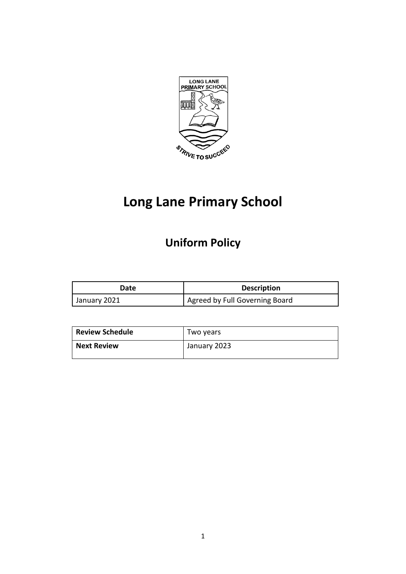

# **Long Lane Primary School**

# **Uniform Policy**

| Date         | <b>Description</b>             |
|--------------|--------------------------------|
| January 2021 | Agreed by Full Governing Board |

| <b>Review Schedule</b> | Two years    |
|------------------------|--------------|
| <b>Next Review</b>     | January 2023 |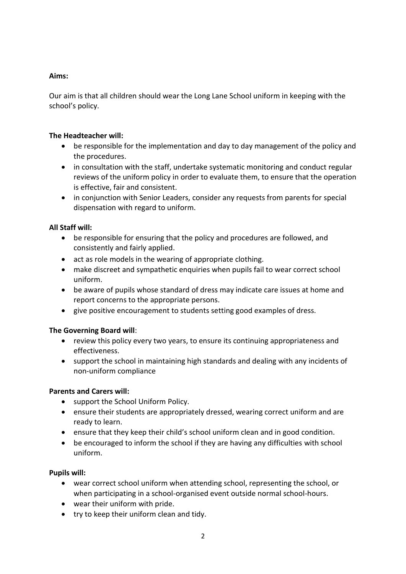## **Aims:**

Our aim is that all children should wear the Long Lane School uniform in keeping with the school's policy.

#### **The Headteacher will:**

- be responsible for the implementation and day to day management of the policy and the procedures.
- in consultation with the staff, undertake systematic monitoring and conduct regular reviews of the uniform policy in order to evaluate them, to ensure that the operation is effective, fair and consistent.
- in conjunction with Senior Leaders, consider any requests from parents for special dispensation with regard to uniform.

#### **All Staff will:**

- be responsible for ensuring that the policy and procedures are followed, and consistently and fairly applied.
- act as role models in the wearing of appropriate clothing.
- make discreet and sympathetic enquiries when pupils fail to wear correct school uniform.
- be aware of pupils whose standard of dress may indicate care issues at home and report concerns to the appropriate persons.
- give positive encouragement to students setting good examples of dress.

# **The Governing Board will**:

- review this policy every two years, to ensure its continuing appropriateness and effectiveness.
- support the school in maintaining high standards and dealing with any incidents of non-uniform compliance

#### **Parents and Carers will:**

- support the School Uniform Policy.
- ensure their students are appropriately dressed, wearing correct uniform and are ready to learn.
- ensure that they keep their child's school uniform clean and in good condition.
- be encouraged to inform the school if they are having any difficulties with school uniform.

#### **Pupils will:**

- wear correct school uniform when attending school, representing the school, or when participating in a school-organised event outside normal school-hours.
- wear their uniform with pride.
- try to keep their uniform clean and tidy.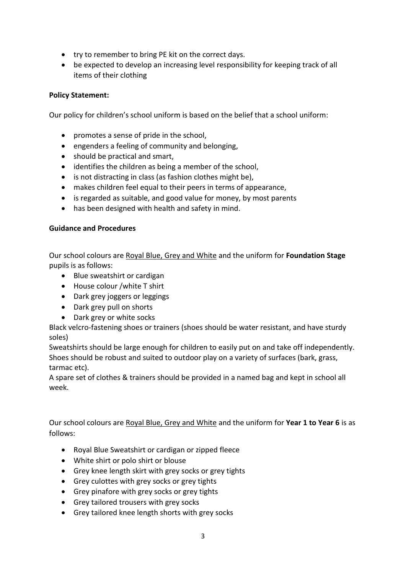- try to remember to bring PE kit on the correct days.
- be expected to develop an increasing level responsibility for keeping track of all items of their clothing

# **Policy Statement:**

Our policy for children's school uniform is based on the belief that a school uniform:

- promotes a sense of pride in the school,
- engenders a feeling of community and belonging,
- should be practical and smart,
- identifies the children as being a member of the school,
- is not distracting in class (as fashion clothes might be),
- makes children feel equal to their peers in terms of appearance,
- is regarded as suitable, and good value for money, by most parents
- has been designed with health and safety in mind.

#### **Guidance and Procedures**

Our school colours are Royal Blue, Grey and White and the uniform for **Foundation Stage** pupils is as follows:

- Blue sweatshirt or cardigan
- House colour /white T shirt
- Dark grey joggers or leggings
- Dark grey pull on shorts
- Dark grey or white socks

Black velcro-fastening shoes or trainers (shoes should be water resistant, and have sturdy soles)

Sweatshirts should be large enough for children to easily put on and take off independently. Shoes should be robust and suited to outdoor play on a variety of surfaces (bark, grass, tarmac etc).

A spare set of clothes & trainers should be provided in a named bag and kept in school all week.

Our school colours are Royal Blue, Grey and White and the uniform for **Year 1 to Year 6** is as follows:

- Royal Blue Sweatshirt or cardigan or zipped fleece
- White shirt or polo shirt or blouse
- Grey knee length skirt with grey socks or grey tights
- Grey culottes with grey socks or grey tights
- Grey pinafore with grey socks or grey tights
- Grey tailored trousers with grey socks
- Grey tailored knee length shorts with grey socks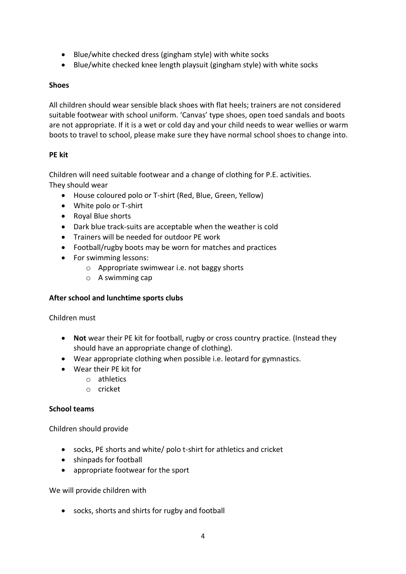- Blue/white checked dress (gingham style) with white socks
- Blue/white checked knee length playsuit (gingham style) with white socks

#### **Shoes**

All children should wear sensible black shoes with flat heels; trainers are not considered suitable footwear with school uniform. 'Canvas' type shoes, open toed sandals and boots are not appropriate. If it is a wet or cold day and your child needs to wear wellies or warm boots to travel to school, please make sure they have normal school shoes to change into.

# **PE kit**

Children will need suitable footwear and a change of clothing for P.E. activities. They should wear

- House coloured polo or T-shirt (Red, Blue, Green, Yellow)
- White polo or T-shirt
- Royal Blue shorts
- Dark blue track-suits are acceptable when the weather is cold
- Trainers will be needed for outdoor PE work
- Football/rugby boots may be worn for matches and practices
- For swimming lessons:
	- o Appropriate swimwear i.e. not baggy shorts
	- o A swimming cap

# **After school and lunchtime sports clubs**

# Children must

- **Not** wear their PE kit for football, rugby or cross country practice. (Instead they should have an appropriate change of clothing).
- Wear appropriate clothing when possible i.e. leotard for gymnastics.
- Wear their PE kit for
	- o athletics
	- o cricket

# **School teams**

Children should provide

- socks, PE shorts and white/ polo t-shirt for athletics and cricket
- shinpads for football
- appropriate footwear for the sport

We will provide children with

socks, shorts and shirts for rugby and football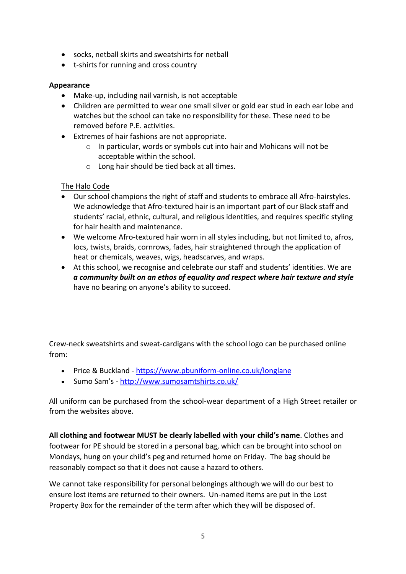- socks, netball skirts and sweatshirts for netball
- t-shirts for running and cross country

## **Appearance**

- Make-up, including nail varnish, is not acceptable
- Children are permitted to wear one small silver or gold ear stud in each ear lobe and watches but the school can take no responsibility for these. These need to be removed before P.E. activities.
- Extremes of hair fashions are not appropriate.
	- o In particular, words or symbols cut into hair and Mohicans will not be acceptable within the school.
	- o Long hair should be tied back at all times.

# The Halo Code

- Our school champions the right of staff and students to embrace all Afro-hairstyles. We acknowledge that Afro-textured hair is an important part of our Black staff and students' racial, ethnic, cultural, and religious identities, and requires specific styling for hair health and maintenance.
- We welcome Afro-textured hair worn in all styles including, but not limited to, afros, locs, twists, braids, cornrows, fades, hair straightened through the application of heat or chemicals, weaves, wigs, headscarves, and wraps.
- At this school, we recognise and celebrate our staff and students' identities. We are *a community built on an ethos of equality and respect where hair texture and style* have no bearing on anyone's ability to succeed.

Crew-neck sweatshirts and sweat-cardigans with the school logo can be purchased online from:

- Price & Buckland <https://www.pbuniform-online.co.uk/longlane>
- Sumo Sam's <http://www.sumosamtshirts.co.uk/>

All uniform can be purchased from the school-wear department of a High Street retailer or from the websites above.

**All clothing and footwear MUST be clearly labelled with your child's name**. Clothes and footwear for PE should be stored in a personal bag, which can be brought into school on Mondays, hung on your child's peg and returned home on Friday. The bag should be reasonably compact so that it does not cause a hazard to others.

We cannot take responsibility for personal belongings although we will do our best to ensure lost items are returned to their owners. Un-named items are put in the Lost Property Box for the remainder of the term after which they will be disposed of.